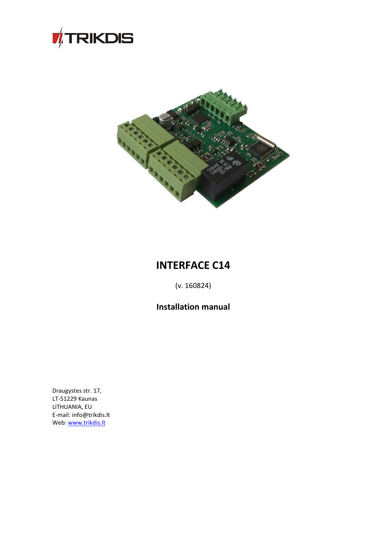



# **INTERFACE C14**

(v. 160824)

**Installation manual**

Draugystes str. 17, LT-51229 Kaunas LITHUANIA, EU E-mail: info@trikdis.lt Web: [www.trikdis.lt](http://www.trikdis.lt/)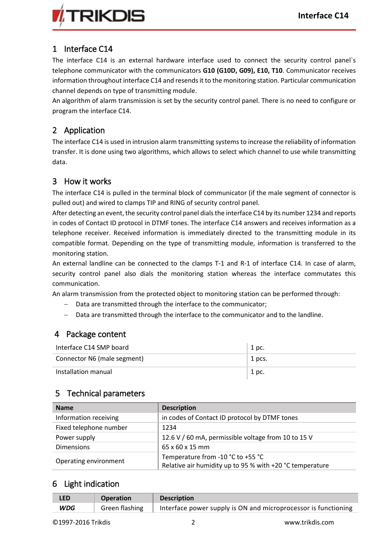

## 1 Interface C14

The interface C14 is an external hardware interface used to connect the security control panel`s telephone communicator with the communicators **G10 (G10D, G09), E10, T10**. Communicator receives information throughout interface C14 and resends it to the monitoring station. Particular communication channel depends on type of transmitting module.

An algorithm of alarm transmission is set by the security control panel. There is no need to configure or program the interface C14.

## 2 Application

The interface C14 is used in intrusion alarm transmitting systems to increase the reliability of information transfer. It is done using two algorithms, which allows to select which channel to use while transmitting data.

#### 3 How it works

The interface C14 is pulled in the terminal block of communicator (if the male segment of connector is pulled out) and wired to clamps TIP and RING of security control panel.

After detecting an event, the security control panel dials the interface C14 by its number 1234 and reports in codes of Contact ID protocol in DTMF tones. The interface C14 answers and receives information as a telephone receiver. Received information is immediately directed to the transmitting module in its compatible format. Depending on the type of transmitting module, information is transferred to the monitoring station.

An external landline can be connected to the clamps T-1 and R-1 of interface C14. In case of alarm, security control panel also dials the monitoring station whereas the interface commutates this communication.

An alarm transmission from the protected object to monitoring station can be performed through:

- Data are transmitted through the interface to the communicator;
- Data are transmitted through the interface to the communicator and to the landline.

#### 4 Package content

| Interface C14 SMP board     | 1 pc.  |
|-----------------------------|--------|
| Connector N6 (male segment) | 1 pcs. |
| Installation manual         | 1 pc.  |

### 5 Technical parameters

| <b>Name</b>            | <b>Description</b>                                                                            |
|------------------------|-----------------------------------------------------------------------------------------------|
| Information receiving  | in codes of Contact ID protocol by DTMF tones                                                 |
| Fixed telephone number | 1234                                                                                          |
| Power supply           | 12.6 V / 60 mA, permissible voltage from 10 to 15 V                                           |
| <b>Dimensions</b>      | 65 x 60 x 15 mm                                                                               |
| Operating environment  | Temperature from -10 °C to +55 °C<br>Relative air humidity up to 95 % with +20 °C temperature |

#### 6 Light indication

| <b>LED</b> | <b>Operation</b> | <b>Description</b>                                                                        |
|------------|------------------|-------------------------------------------------------------------------------------------|
| <b>WDG</b> |                  | Green flashing $\parallel$ Interface power supply is ON and microprocessor is functioning |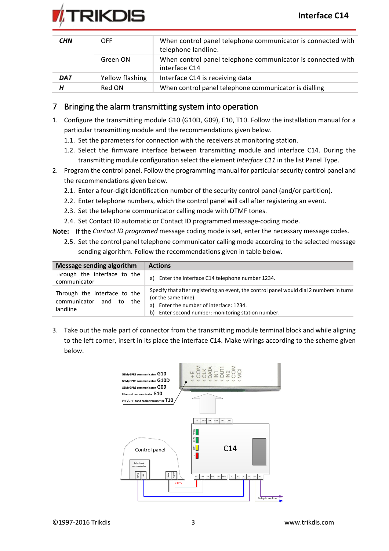

| <b>CHN</b> | <b>OFF</b>      | When control panel telephone communicator is connected with<br>telephone landline. |
|------------|-----------------|------------------------------------------------------------------------------------|
|            | Green ON        | When control panel telephone communicator is connected with<br>interface C14       |
| <b>DAT</b> | Yellow flashing | Interface C14 is receiving data                                                    |
| Н          | Red ON          | When control panel telephone communicator is dialling                              |

#### 7 Bringing the alarm transmitting system into operation

- 1. Configure the transmitting module G10 (G10D, G09), E10, T10. Follow the installation manual for a particular transmitting module and the recommendations given below.
	- 1.1. Set the parameters for connection with the receivers at monitoring station.
	- 1.2. Select the firmware interface between transmitting module and interface C14. During the transmitting module configuration select the element *Interface C11* in the list Panel Type.
- 2. Program the control panel. Follow the programming manual for particular security control panel and the recommendations given below.
	- 2.1. Enter a four-digit identification number of the security control panel (and/or partition).
	- 2.2. Enter telephone numbers, which the control panel will call after registering an event.
	- 2.3. Set the telephone communicator calling mode with DTMF tones.
	- 2.4. Set Contact ID automatic or Contact ID programmed message-coding mode.
- **Note:** if the *Contact ID programed* message coding mode is set, enter the necessary message codes.
	- 2.5. Set the control panel telephone communicator calling mode according to the selected message sending algorithm. Follow the recommendations given in table below.

| <b>Message sending algorithm</b>                                          | <b>Actions</b>                                                                                                                                                                                                         |
|---------------------------------------------------------------------------|------------------------------------------------------------------------------------------------------------------------------------------------------------------------------------------------------------------------|
| Through the interface to the<br>communicator                              | Enter the interface C14 telephone number 1234.<br>a)                                                                                                                                                                   |
| Through the interface to the<br>communicator and<br>the<br>to<br>landline | Specify that after registering an event, the control panel would dial 2 numbers in turns<br>(or the same time).<br>Enter the number of interface: 1234.<br>a)<br>Enter second number: monitoring station number.<br>b) |

3. Take out the male part of connector from the transmitting module terminal block and while aligning to the left corner, insert in its place the interface C14. Make wirings according to the scheme given below.